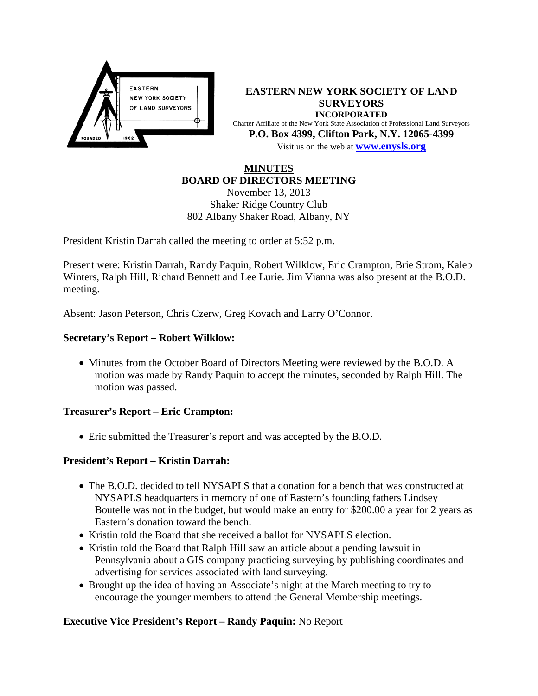

**EASTERN NEW YORK SOCIETY OF LAND SURVEYORS INCORPORATED** Charter Affiliate of the New York State Association of Professional Land Surveyors **P.O. Box 4399, Clifton Park, N.Y. 12065-4399** Visit us on the web at **[www.e](http://www.enysls.org/)nysls.org**

# **MINUTES BOARD OF DIRECTORS MEETING**

November 13, 2013 Shaker Ridge Country Club 802 Albany Shaker Road, Albany, NY

President Kristin Darrah called the meeting to order at 5:52 p.m.

Present were: Kristin Darrah, Randy Paquin, Robert Wilklow, Eric Crampton, Brie Strom, Kaleb Winters, Ralph Hill, Richard Bennett and Lee Lurie. Jim Vianna was also present at the B.O.D. meeting.

Absent: Jason Peterson, Chris Czerw, Greg Kovach and Larry O'Connor.

### **Secretary's Report – Robert Wilklow:**

• Minutes from the October Board of Directors Meeting were reviewed by the B.O.D. A motion was made by Randy Paquin to accept the minutes, seconded by Ralph Hill. The motion was passed.

### **Treasurer's Report – Eric Crampton:**

• Eric submitted the Treasurer's report and was accepted by the B.O.D.

### **President's Report – Kristin Darrah:**

- The B.O.D. decided to tell NYSAPLS that a donation for a bench that was constructed at NYSAPLS headquarters in memory of one of Eastern's founding fathers Lindsey Boutelle was not in the budget, but would make an entry for \$200.00 a year for 2 years as Eastern's donation toward the bench.
- Kristin told the Board that she received a ballot for NYSAPLS election.
- Kristin told the Board that Ralph Hill saw an article about a pending lawsuit in Pennsylvania about a GIS company practicing surveying by publishing coordinates and advertising for services associated with land surveying.
- Brought up the idea of having an Associate's night at the March meeting to try to encourage the younger members to attend the General Membership meetings.

### **Executive Vice President's Report – Randy Paquin:** No Report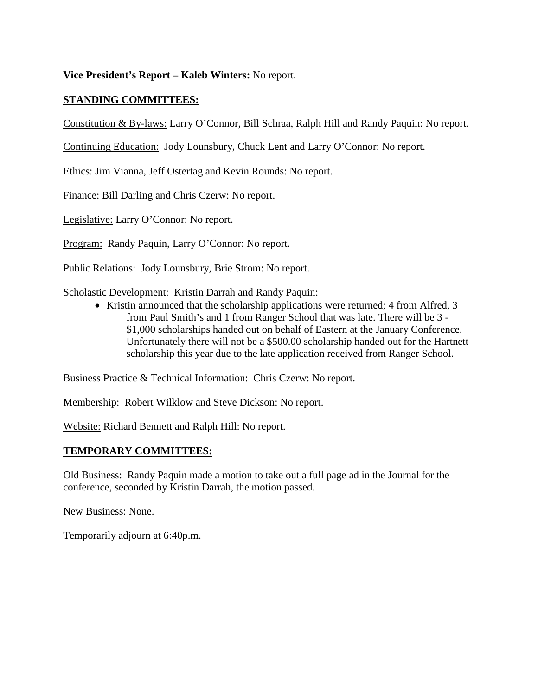**Vice President's Report – Kaleb Winters:** No report.

## **STANDING COMMITTEES:**

Constitution & By-laws: Larry O'Connor, Bill Schraa, Ralph Hill and Randy Paquin: No report.

Continuing Education: Jody Lounsbury, Chuck Lent and Larry O'Connor: No report.

Ethics: Jim Vianna, Jeff Ostertag and Kevin Rounds: No report.

Finance: Bill Darling and Chris Czerw: No report.

Legislative: Larry O'Connor: No report.

Program: Randy Paquin, Larry O'Connor: No report.

Public Relations: Jody Lounsbury, Brie Strom: No report.

Scholastic Development: Kristin Darrah and Randy Paquin:

• Kristin announced that the scholarship applications were returned; 4 from Alfred, 3 from Paul Smith's and 1 from Ranger School that was late. There will be 3 - \$1,000 scholarships handed out on behalf of Eastern at the January Conference. Unfortunately there will not be a \$500.00 scholarship handed out for the Hartnett scholarship this year due to the late application received from Ranger School.

Business Practice & Technical Information: Chris Czerw: No report.

Membership: Robert Wilklow and Steve Dickson: No report.

Website: Richard Bennett and Ralph Hill: No report.

#### **TEMPORARY COMMITTEES:**

Old Business: Randy Paquin made a motion to take out a full page ad in the Journal for the conference, seconded by Kristin Darrah, the motion passed.

New Business: None.

Temporarily adjourn at 6:40p.m.